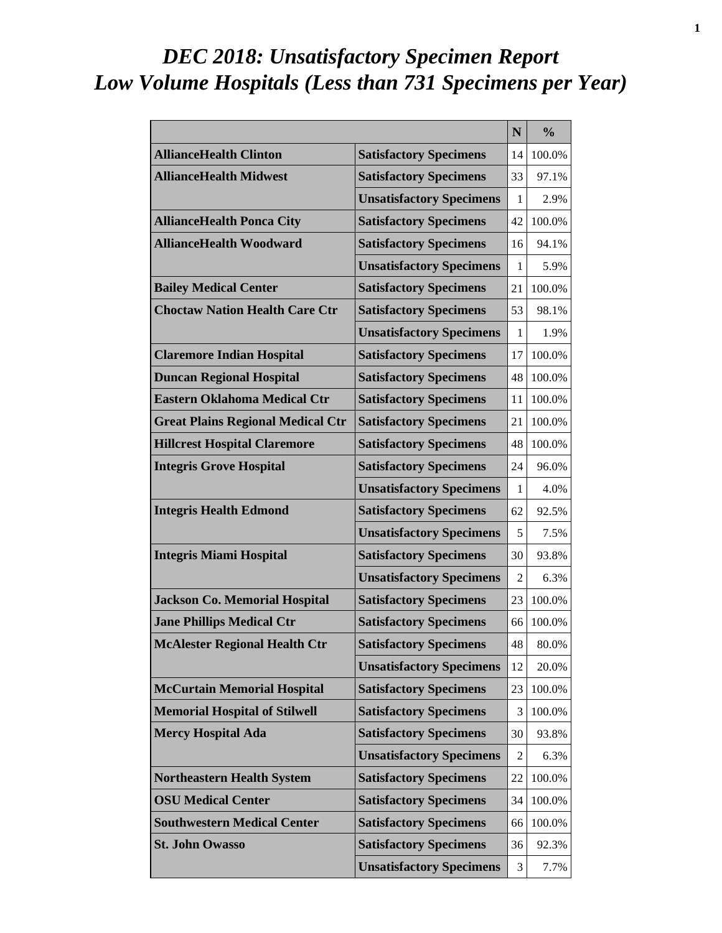# *DEC 2018: Unsatisfactory Specimen Report Low Volume Hospitals (Less than 731 Specimens per Year)*

|                                          |                                 | N  | $\frac{0}{0}$ |
|------------------------------------------|---------------------------------|----|---------------|
| <b>AllianceHealth Clinton</b>            | <b>Satisfactory Specimens</b>   | 14 | 100.0%        |
| <b>AllianceHealth Midwest</b>            | <b>Satisfactory Specimens</b>   | 33 | 97.1%         |
|                                          | <b>Unsatisfactory Specimens</b> | 1  | 2.9%          |
| <b>AllianceHealth Ponca City</b>         | <b>Satisfactory Specimens</b>   | 42 | 100.0%        |
| <b>AllianceHealth Woodward</b>           | <b>Satisfactory Specimens</b>   | 16 | 94.1%         |
|                                          | <b>Unsatisfactory Specimens</b> | 1  | 5.9%          |
| <b>Bailey Medical Center</b>             | <b>Satisfactory Specimens</b>   | 21 | 100.0%        |
| <b>Choctaw Nation Health Care Ctr</b>    | <b>Satisfactory Specimens</b>   | 53 | 98.1%         |
|                                          | <b>Unsatisfactory Specimens</b> | 1  | 1.9%          |
| <b>Claremore Indian Hospital</b>         | <b>Satisfactory Specimens</b>   | 17 | 100.0%        |
| <b>Duncan Regional Hospital</b>          | <b>Satisfactory Specimens</b>   | 48 | 100.0%        |
| <b>Eastern Oklahoma Medical Ctr</b>      | <b>Satisfactory Specimens</b>   | 11 | 100.0%        |
| <b>Great Plains Regional Medical Ctr</b> | <b>Satisfactory Specimens</b>   | 21 | 100.0%        |
| <b>Hillcrest Hospital Claremore</b>      | <b>Satisfactory Specimens</b>   | 48 | 100.0%        |
| <b>Integris Grove Hospital</b>           | <b>Satisfactory Specimens</b>   | 24 | 96.0%         |
|                                          | <b>Unsatisfactory Specimens</b> | 1  | 4.0%          |
| <b>Integris Health Edmond</b>            | <b>Satisfactory Specimens</b>   | 62 | 92.5%         |
|                                          | <b>Unsatisfactory Specimens</b> | 5  | 7.5%          |
| <b>Integris Miami Hospital</b>           | <b>Satisfactory Specimens</b>   | 30 | 93.8%         |
|                                          | <b>Unsatisfactory Specimens</b> | 2  | 6.3%          |
| <b>Jackson Co. Memorial Hospital</b>     | <b>Satisfactory Specimens</b>   | 23 | 100.0%        |
| <b>Jane Phillips Medical Ctr</b>         | <b>Satisfactory Specimens</b>   | 66 | 100.0%        |
| <b>McAlester Regional Health Ctr</b>     | <b>Satisfactory Specimens</b>   | 48 | 80.0%         |
|                                          | <b>Unsatisfactory Specimens</b> | 12 | 20.0%         |
| <b>McCurtain Memorial Hospital</b>       | <b>Satisfactory Specimens</b>   | 23 | 100.0%        |
| <b>Memorial Hospital of Stilwell</b>     | <b>Satisfactory Specimens</b>   | 3  | 100.0%        |
| <b>Mercy Hospital Ada</b>                | <b>Satisfactory Specimens</b>   | 30 | 93.8%         |
|                                          | <b>Unsatisfactory Specimens</b> | 2  | 6.3%          |
| <b>Northeastern Health System</b>        | <b>Satisfactory Specimens</b>   | 22 | 100.0%        |
| <b>OSU Medical Center</b>                | <b>Satisfactory Specimens</b>   | 34 | 100.0%        |
| <b>Southwestern Medical Center</b>       | <b>Satisfactory Specimens</b>   | 66 | 100.0%        |
| <b>St. John Owasso</b>                   | <b>Satisfactory Specimens</b>   | 36 | 92.3%         |
|                                          | <b>Unsatisfactory Specimens</b> | 3  | 7.7%          |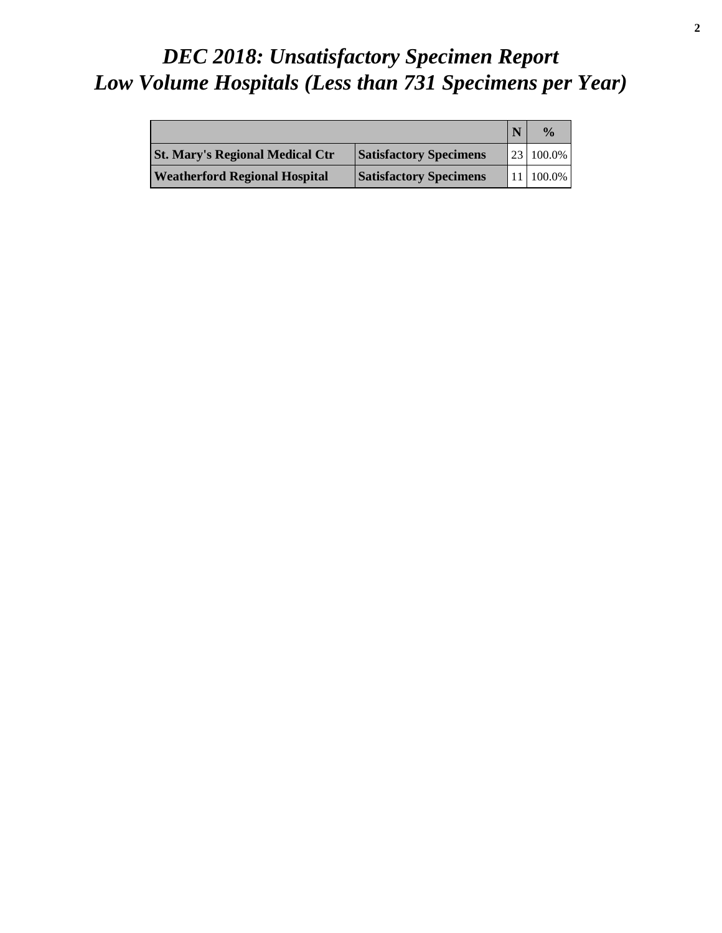# *DEC 2018: Unsatisfactory Specimen Report Low Volume Hospitals (Less than 731 Specimens per Year)*

|                                        |                               | $\frac{0}{a}$          |
|----------------------------------------|-------------------------------|------------------------|
| <b>St. Mary's Regional Medical Ctr</b> | <b>Satisfactory Specimens</b> | $ 23 100.0\% $         |
| <b>Weatherford Regional Hospital</b>   | <b>Satisfactory Specimens</b> | $11 \mid 100.0\% \mid$ |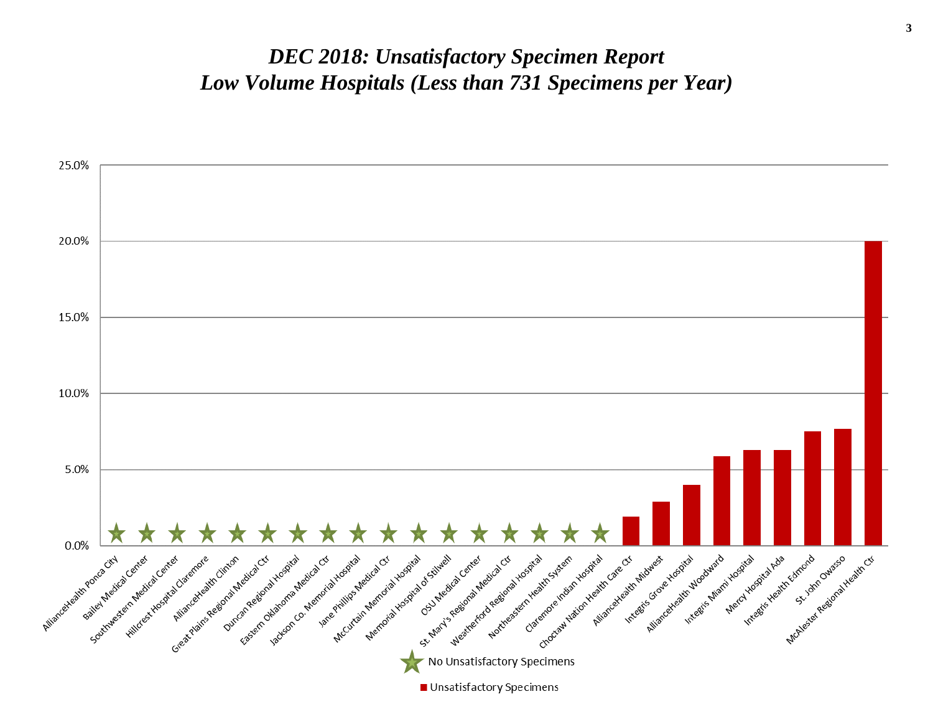#### *DEC 2018: Unsatisfactory Specimen Report Low Volume Hospitals (Less than 731 Specimens per Year)*

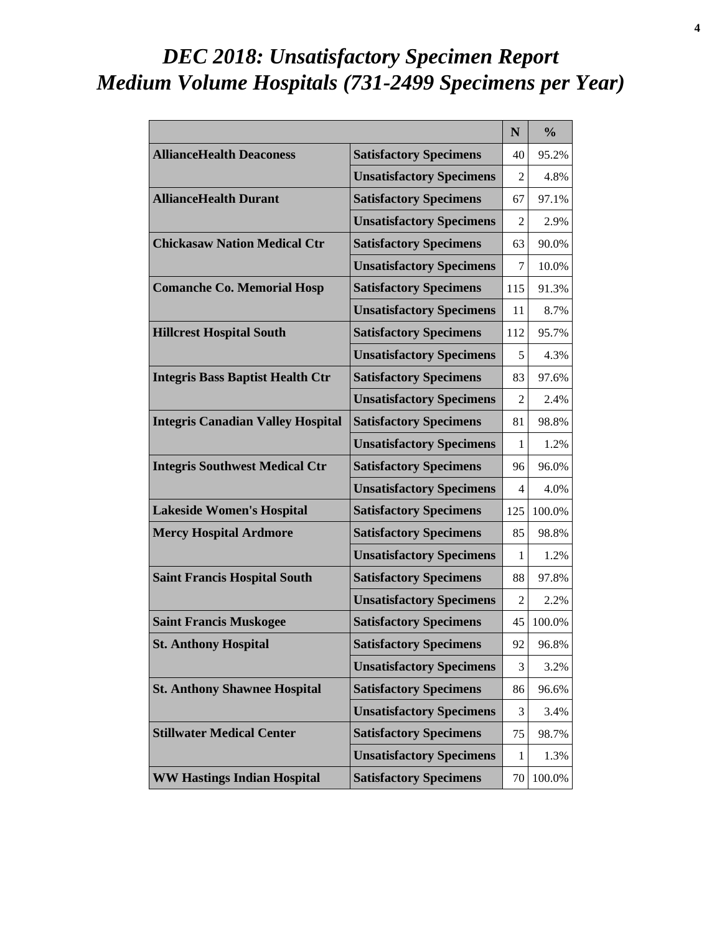# *DEC 2018: Unsatisfactory Specimen Report Medium Volume Hospitals (731-2499 Specimens per Year)*

|                                          |                                 | N              | $\frac{0}{0}$ |
|------------------------------------------|---------------------------------|----------------|---------------|
| <b>AllianceHealth Deaconess</b>          | <b>Satisfactory Specimens</b>   | 40             | 95.2%         |
|                                          | <b>Unsatisfactory Specimens</b> | $\overline{2}$ | 4.8%          |
| <b>AllianceHealth Durant</b>             | <b>Satisfactory Specimens</b>   | 67             | 97.1%         |
|                                          | <b>Unsatisfactory Specimens</b> | $\mathfrak{D}$ | 2.9%          |
| <b>Chickasaw Nation Medical Ctr</b>      | <b>Satisfactory Specimens</b>   | 63             | 90.0%         |
|                                          | <b>Unsatisfactory Specimens</b> | 7              | 10.0%         |
| <b>Comanche Co. Memorial Hosp</b>        | <b>Satisfactory Specimens</b>   | 115            | 91.3%         |
|                                          | <b>Unsatisfactory Specimens</b> | 11             | 8.7%          |
| <b>Hillcrest Hospital South</b>          | <b>Satisfactory Specimens</b>   | 112            | 95.7%         |
|                                          | <b>Unsatisfactory Specimens</b> | 5              | 4.3%          |
| <b>Integris Bass Baptist Health Ctr</b>  | <b>Satisfactory Specimens</b>   | 83             | 97.6%         |
|                                          | <b>Unsatisfactory Specimens</b> | 2              | 2.4%          |
| <b>Integris Canadian Valley Hospital</b> | <b>Satisfactory Specimens</b>   | 81             | 98.8%         |
|                                          | <b>Unsatisfactory Specimens</b> | 1              | 1.2%          |
| <b>Integris Southwest Medical Ctr</b>    | <b>Satisfactory Specimens</b>   | 96             | 96.0%         |
|                                          | <b>Unsatisfactory Specimens</b> | 4              | 4.0%          |
| <b>Lakeside Women's Hospital</b>         | <b>Satisfactory Specimens</b>   | 125            | 100.0%        |
| <b>Mercy Hospital Ardmore</b>            | <b>Satisfactory Specimens</b>   | 85             | 98.8%         |
|                                          | <b>Unsatisfactory Specimens</b> | 1              | 1.2%          |
| <b>Saint Francis Hospital South</b>      | <b>Satisfactory Specimens</b>   | 88             | 97.8%         |
|                                          | <b>Unsatisfactory Specimens</b> | 2              | 2.2%          |
| <b>Saint Francis Muskogee</b>            | <b>Satisfactory Specimens</b>   | 45             | 100.0%        |
| <b>St. Anthony Hospital</b>              | <b>Satisfactory Specimens</b>   | 92             | 96.8%         |
|                                          | <b>Unsatisfactory Specimens</b> | 3              | 3.2%          |
| <b>St. Anthony Shawnee Hospital</b>      | <b>Satisfactory Specimens</b>   | 86             | 96.6%         |
|                                          | <b>Unsatisfactory Specimens</b> | 3              | 3.4%          |
| <b>Stillwater Medical Center</b>         | <b>Satisfactory Specimens</b>   | 75             | 98.7%         |
|                                          | <b>Unsatisfactory Specimens</b> | 1              | 1.3%          |
| <b>WW Hastings Indian Hospital</b>       | <b>Satisfactory Specimens</b>   | 70             | 100.0%        |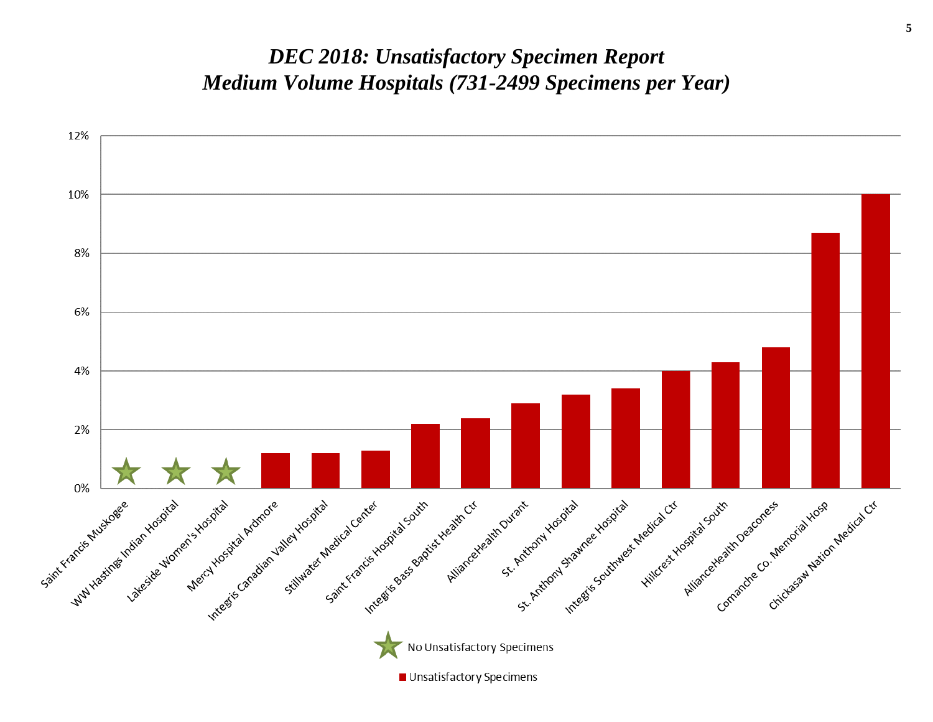#### *DEC 2018: Unsatisfactory Specimen Report Medium Volume Hospitals (731-2499 Specimens per Year)*

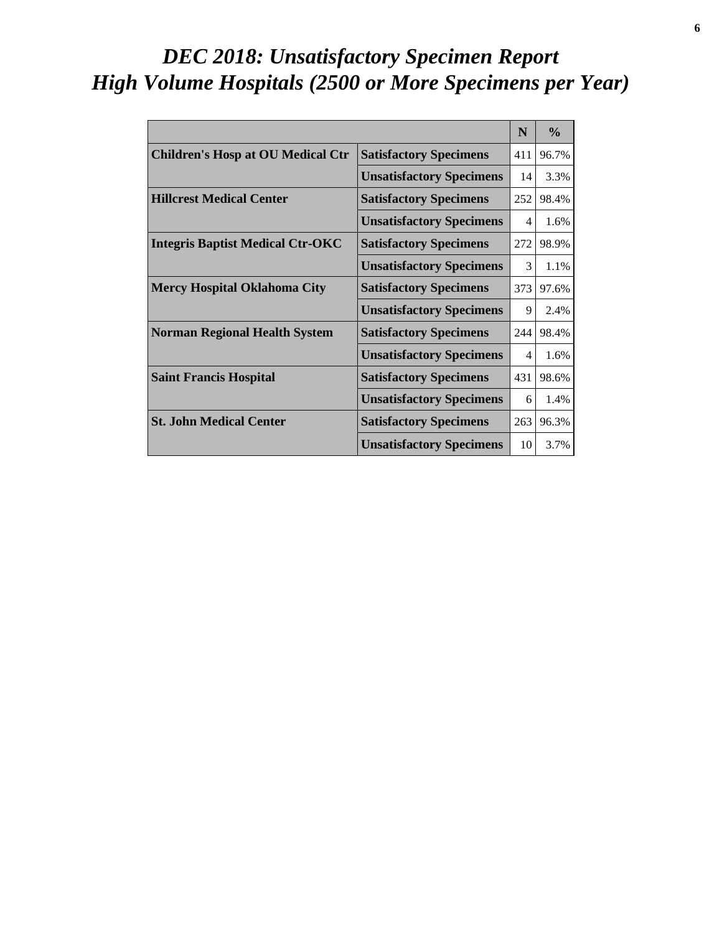# *DEC 2018: Unsatisfactory Specimen Report High Volume Hospitals (2500 or More Specimens per Year)*

|                                          |                                 | N   | $\frac{0}{0}$ |
|------------------------------------------|---------------------------------|-----|---------------|
| <b>Children's Hosp at OU Medical Ctr</b> | <b>Satisfactory Specimens</b>   | 411 | 96.7%         |
|                                          | <b>Unsatisfactory Specimens</b> | 14  | 3.3%          |
| <b>Hillcrest Medical Center</b>          | <b>Satisfactory Specimens</b>   | 252 | 98.4%         |
|                                          | <b>Unsatisfactory Specimens</b> | 4   | 1.6%          |
| <b>Integris Baptist Medical Ctr-OKC</b>  | <b>Satisfactory Specimens</b>   | 272 | 98.9%         |
|                                          | <b>Unsatisfactory Specimens</b> | 3   | 1.1%          |
| <b>Mercy Hospital Oklahoma City</b>      | <b>Satisfactory Specimens</b>   | 373 | 97.6%         |
|                                          | <b>Unsatisfactory Specimens</b> | 9   | 2.4%          |
| <b>Norman Regional Health System</b>     | <b>Satisfactory Specimens</b>   | 244 | 98.4%         |
|                                          | <b>Unsatisfactory Specimens</b> | 4   | 1.6%          |
| <b>Saint Francis Hospital</b>            | <b>Satisfactory Specimens</b>   | 431 | 98.6%         |
|                                          | <b>Unsatisfactory Specimens</b> | 6   | 1.4%          |
| <b>St. John Medical Center</b>           | <b>Satisfactory Specimens</b>   | 263 | 96.3%         |
|                                          | <b>Unsatisfactory Specimens</b> | 10  | 3.7%          |